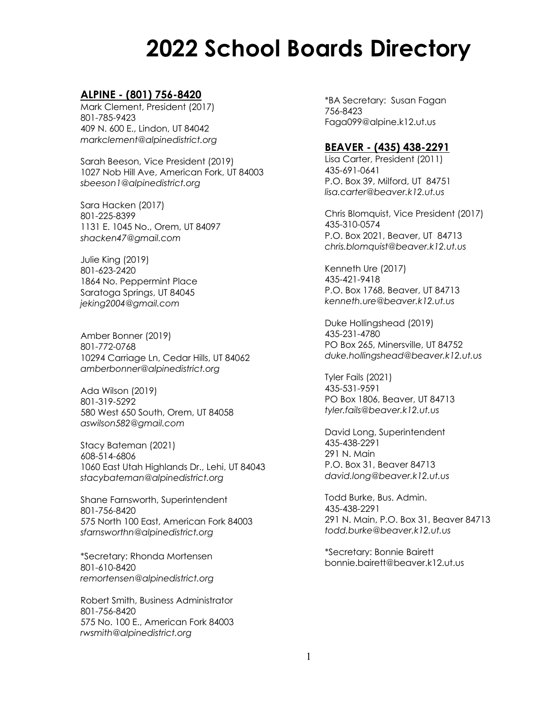# **2022 School Boards Directory**

# **ALPINE - (801) 756-8420**

Mark Clement, President (2017) 801-785-9423 409 N. 600 E., Lindon, UT 84042 *markclement@alpinedistrict.org*

Sarah Beeson, Vice President (2019) 1027 Nob Hill Ave, American Fork, UT 84003 *sbeeson1@alpinedistrict.org*

Sara Hacken (2017) 801-225-8399 1131 E. 1045 No., Orem, UT 84097 *shacken47@gmail.com*

Julie King (2019) 801-623-2420 1864 No. Peppermint Place Saratoga Springs, UT 84045 *jeking2004@gmail.com*

Amber Bonner (2019) 801-772-0768 10294 Carriage Ln, Cedar Hills, UT 84062 *amberbonner@alpinedistrict.org*

Ada Wilson (2019) 801-319-5292 580 West 650 South, Orem, UT 84058 *aswilson582@gmail.com*

Stacy Bateman (2021) 608-514-6806 1060 East Utah Highlands Dr., Lehi, UT 84043 *stacybateman@alpinedistrict.org*

Shane Farnsworth, Superintendent 801-756-8420 575 North 100 East, American Fork 84003 *sfarnsworthn@alpinedistrict.org*

\*Secretary: Rhonda Mortensen 801-610-8420 *remortensen@alpinedistrict.org*

Robert Smith, Business Administrator 801-756-8420 575 No. 100 E., American Fork 84003 *rwsmith@alpinedistrict.org*

\*BA Secretary: Susan Fagan 756-8423 Faga099@alpine.k12.ut.us

#### **BEAVER - (435) 438-2291**

Lisa Carter, President (2011) 435-691-0641 P.O. Box 39, Milford, UT 84751 *lisa.carter@beaver.k12.ut.us*

Chris Blomquist, Vice President (2017) 435-310-0574 P.O. Box 2021, Beaver, UT 84713 *chris.blomquist@beaver.k12.ut.us*

Kenneth Ure (2017) 435-421-9418 P.O. Box 1768, Beaver, UT 84713 *kenneth.ure@beaver.k12.ut.us*

Duke Hollingshead (2019) 435-231-4780 PO Box 265, Minersville, UT 84752 *duke.hollingshead@beaver.k12.ut.us*

Tyler Fails (2021) 435-531-9591 PO Box 1806, Beaver, UT 84713 *tyler.fails@beaver.k12.ut.us*

David Long, Superintendent 435-438-2291 291 N. Main P.O. Box 31, Beaver 84713 *david.long@beaver.k12.ut.us*

Todd Burke, Bus. Admin. 435-438-2291 291 N. Main, P.O. Box 31, Beaver 84713 *todd.burke@beaver.k12.ut.us*

\*Secretary: Bonnie Bairett bonnie.bairett@beaver.k12.ut.us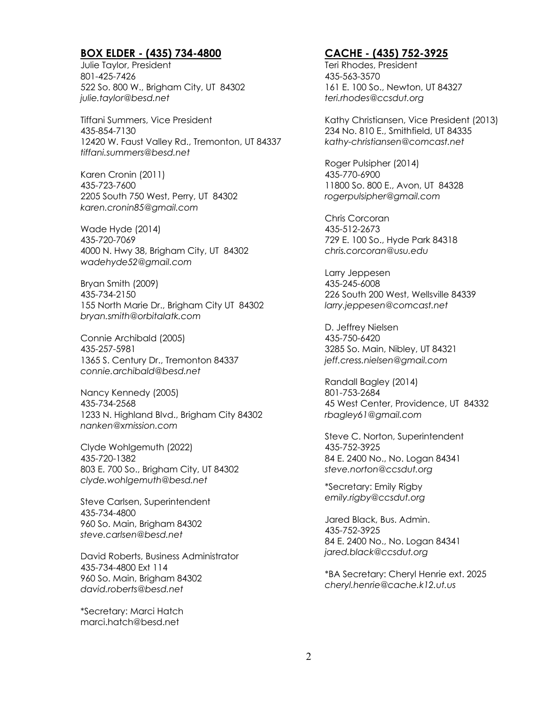# **BOX ELDER - (435) 734-4800**

Julie Taylor, President 801-425-7426 522 So. 800 W., Brigham City, UT 84302 *julie.taylor@besd.net*

Tiffani Summers, Vice President 435-854-7130 12420 W. Faust Valley Rd., Tremonton, UT 84337 *tiffani.summers@besd.net*

Karen Cronin (2011) 435-723-7600 2205 South 750 West, Perry, UT 84302 *karen.cronin85@gmail.com*

Wade Hyde (2014) 435-720-7069 4000 N. Hwy 38, Brigham City, UT 84302 *wadehyde52@gmail.com*

Bryan Smith (2009) 435-734-2150 155 North Marie Dr., Brigham City UT 84302 *bryan.smith@orbitalatk.com*

Connie Archibald (2005) 435-257-5981 1365 S. Century Dr., Tremonton 84337 *connie.archibald@besd.net*

Nancy Kennedy (2005) 435-734-2568 1233 N. Highland Blvd., Brigham City 84302 *nanken@xmission.com*

Clyde Wohlgemuth (2022) 435-720-1382 803 E. 700 So., Brigham City, UT 84302 *clyde.wohlgemuth@besd.net*

Steve Carlsen, Superintendent 435-734-4800 960 So. Main, Brigham 84302 *steve.carlsen@besd.net* 

David Roberts, Business Administrator 435-734-4800 Ext 114 960 So. Main, Brigham 84302 *david.roberts@besd.net*

\*Secretary: Marci Hatch marci.hatch@besd.net

# **CACHE - (435) 752-3925**

Teri Rhodes, President 435-563-3570 161 E. 100 So., Newton, UT 84327 *teri.rhodes@ccsdut.org*

Kathy Christiansen, Vice President (2013) 234 No. 810 E., Smithfield, UT 84335 *kathy-christiansen@comcast.net*

Roger Pulsipher (2014) 435-770-6900 11800 So. 800 E., Avon, UT 84328 *rogerpulsipher@gmail.com*

Chris Corcoran 435-512-2673 729 E. 100 So., Hyde Park 84318 *chris.corcoran@usu.edu*

Larry Jeppesen 435-245-6008 226 South 200 West, Wellsville 84339 *larry.jeppesen@comcast.net*

D. Jeffrey Nielsen 435-750-6420 3285 So. Main, Nibley, UT 84321 *jeff.cress.nielsen@gmail.com*

Randall Bagley (2014) 801-753-2684 45 West Center, Providence, UT 84332 *rbagley61@gmail.com*

Steve C. Norton, Superintendent 435-752-3925 84 E. 2400 No., No. Logan 84341 *steve.norton@ccsdut.org*

\*Secretary: Emily Rigby *emily.rigby@ccsdut.org*

Jared Black, Bus. Admin. 435-752-3925 84 E. 2400 No., No. Logan 84341 *jared.black@ccsdut.org*

\*BA Secretary: Cheryl Henrie ext. 2025 *cheryl.henrie@cache.k12.ut.us*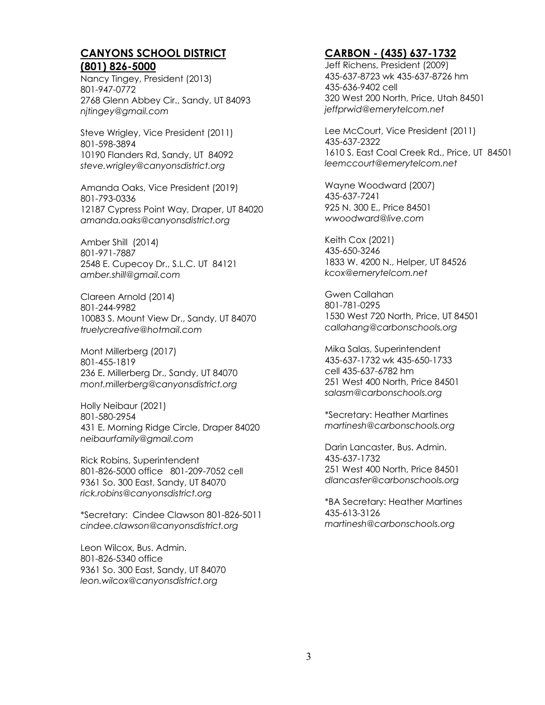#### **CANYONS SCHOOL DISTRICT (801) 826-5000**

Nancy Tingey, President (2013) 801-947-0772 2768 Glenn Abbey Cir., Sandy, UT 84093 *njtingey@gmail.com*

Steve Wrigley, Vice President (2011) 801-598-3894 10190 Flanders Rd, Sandy, UT 84092 *steve.wrigley@canyonsdistrict.org*

Amanda Oaks, Vice President (2019) 801-793-0336 12187 Cypress Point Way, Draper, UT 84020 *amanda.oaks@canyonsdistrict.org*

Amber Shill (2014) 801-971-7887 2548 E. Cupecoy Dr., S.L.C. UT 84121 *amber.shill@gmail.com*

Clareen Arnold (2014) 801-244-9982 10083 S. Mount View Dr., Sandy, UT 84070 *truelycreative@hotmail.com*

Mont Millerberg (2017) 801-455-1819 236 E. Millerberg Dr., Sandy, UT 84070 *mont.millerberg@canyonsdistrict.org*

Holly Neibaur (2021) 801-580-2954 431 E. Morning Ridge Circle, Draper 84020 *neibaurfamily@gmail.com*

Rick Robins, Superintendent 801-826-5000 office 801-209-7052 cell 9361 So. 300 East, Sandy, UT 84070 *rick.robins@canyonsdistrict.org*

\*Secretary: Cindee Clawson 801-826-5011 *cindee.clawson@canyonsdistrict.org*

Leon Wilcox, Bus. Admin. 801-826-5340 office 9361 So. 300 East, Sandy, UT 84070 *leon.wilcox@canyonsdistrict.org*

# **CARBON - (435) 637-1732**

Jeff Richens, President (2009) 435-637-8723 wk 435-637-8726 hm 435-636-9402 cell 320 West 200 North, Price, Utah 84501 *jeffprwid@emerytelcom.net*

Lee McCourt, Vice President (2011) 435-637-2322 1610 S. East Coal Creek Rd., Price, UT 84501 *leemccourt@emerytelcom.net*

Wayne Woodward (2007) 435-637-7241 925 N. 300 E., Price 84501 *wwoodward@live.com*

Keith Cox (2021) 435-650-3246 1833 W. 4200 N., Helper, UT 84526 *kcox@emerytelcom.net*

Gwen Callahan 801-781-0295 1530 West 720 North, Price, UT 84501 *callahang@carbonschools.org*

Mika Salas, Superintendent 435-637-1732 wk 435-650-1733 cell 435-637-6782 hm 251 West 400 North, Price 84501 *salasm@carbonschools.org*

\*Secretary: Heather Martines *martinesh@carbonschools.org*

Darin Lancaster, Bus. Admin. 435-637-1732 251 West 400 North, Price 84501 *dlancaster@carbonschools.org*

\*BA Secretary: Heather Martines 435-613-3126 *martinesh@carbonschools.org*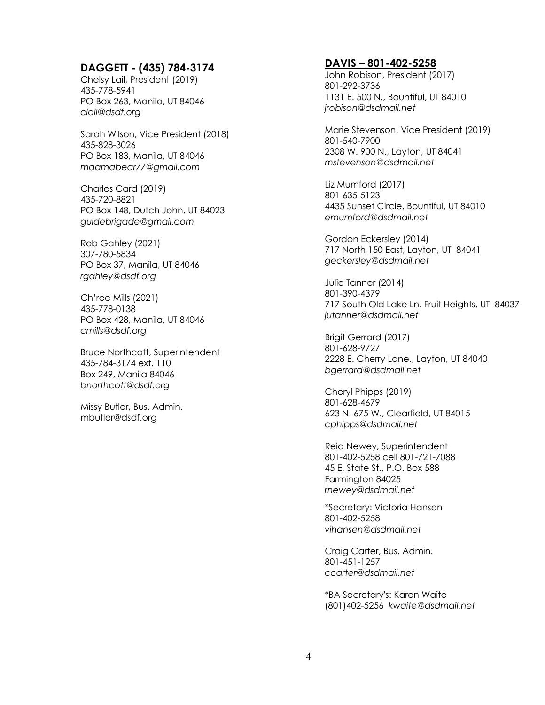# **DAGGETT - (435) 784-3174**

Chelsy Lail, President (2019) 435-778-5941 PO Box 263, Manila, UT 84046 *clail@dsdf.org*

Sarah Wilson, Vice President (2018) 435-828-3026 PO Box 183, Manila, UT 84046 *maamabear77@gmail.com*

Charles Card (2019) 435-720-8821 PO Box 148, Dutch John, UT 84023 *guidebrigade@gmail.com*

Rob Gahley (2021) 307-780-5834 PO Box 37, Manila, UT 84046 *rgahley@dsdf.org*

Ch'ree Mills (2021) 435-778-0138 PO Box 428, Manila, UT 84046 *cmills@dsdf.org*

Bruce Northcott, Superintendent 435-784-3174 ext. 110 Box 249, Manila 84046 *bnorthcott@dsdf.org*

Missy Butler, Bus. Admin. mbutler@dsdf.org

#### **DAVIS – 801-402-5258**

John Robison, President (2017) 801-292-3736 1131 E. 500 N., Bountiful, UT 84010 *jrobison@dsdmail.net*

Marie Stevenson, Vice President (2019) 801-540-7900 2308 W. 900 N., Layton, UT 84041 *mstevenson@dsdmail.net*

Liz Mumford (2017) 801-635-5123 4435 Sunset Circle, Bountiful, UT 84010 *emumford@dsdmail.net*

Gordon Eckersley (2014) 717 North 150 East, Layton, UT 84041 *geckersley@dsdmail.net*

Julie Tanner (2014) 801-390-4379 717 South Old Lake Ln, Fruit Heights, UT 84037 *jutanner@dsdmail.net*

Brigit Gerrard (2017) 801-628-9727 2228 E. Cherry Lane., Layton, UT 84040 *bgerrard@dsdmail.net*

Cheryl Phipps (2019) 801-628-4679 623 N. 675 W., Clearfield, UT 84015 *cphipps@dsdmail.net*

Reid Newey, Superintendent 801-402-5258 cell 801-721-7088 45 E. State St., P.O. Box 588 Farmington 84025 *rnewey@dsdmail.net*

\*Secretary: Victoria Hansen 801-402-5258 *vihansen@dsdmail.net*

Craig Carter, Bus. Admin. 801-451-1257 *ccarter@dsdmail.net*

\*BA Secretary's: Karen Waite (801)402-5256 *kwaite@dsdmail.net*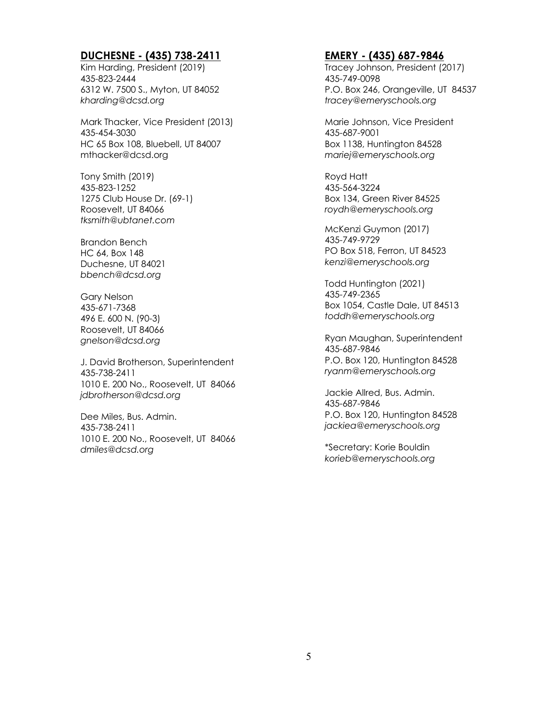# **DUCHESNE - (435) 738-2411**

Kim Harding, President (2019) 435-823-2444 6312 W. 7500 S., Myton, UT 84052 *kharding@dcsd.org*

Mark Thacker, Vice President (2013) 435-454-3030 HC 65 Box 108, Bluebell, UT 84007 mthacker@dcsd.org

Tony Smith (2019) 435-823-1252 1275 Club House Dr. (69-1) Roosevelt, UT 84066 *tksmith@ubtanet.com*

Brandon Bench HC 64, Box 148 Duchesne, UT 84021 *bbench@dcsd.org*

Gary Nelson 435-671-7368 496 E. 600 N. (90-3) Roosevelt, UT 84066 *gnelson@dcsd.org*

J. David Brotherson, Superintendent 435-738-2411 1010 E. 200 No., Roosevelt, UT 84066 *jdbrotherson@dcsd.org*

Dee Miles, Bus. Admin. 435-738-2411 1010 E. 200 No., Roosevelt, UT 84066 *dmiles@dcsd.org*

#### **EMERY - (435) 687-9846**

Tracey Johnson, President (2017) 435-749-0098 P.O. Box 246, Orangeville, UT 84537 *tracey@emeryschools.org*

Marie Johnson, Vice President 435-687-9001 Box 1138, Huntington 84528 *mariej@emeryschools.org*

Royd Hatt 435-564-3224 Box 134, Green River 84525 *roydh@emeryschools.org*

McKenzi Guymon (2017) 435-749-9729 PO Box 518, Ferron, UT 84523 *kenzi@emeryschools.org*

Todd Huntington (2021) 435-749-2365 Box 1054, Castle Dale, UT 84513 *toddh@emeryschools.org*

Ryan Maughan, Superintendent 435-687-9846 P.O. Box 120, Huntington 84528 *ryanm@emeryschools.org*

Jackie Allred, Bus. Admin. 435-687-9846 P.O. Box 120, Huntington 84528 *jackiea@emeryschools.org*

\*Secretary: Korie Bouldin *korieb@emeryschools.org*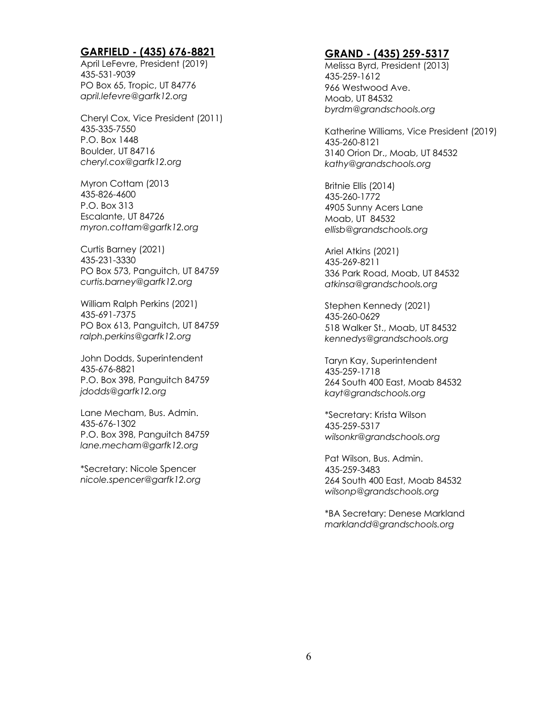#### **GARFIELD - (435) 676-8821**

April LeFevre, President (2019) 435-531-9039 PO Box 65, Tropic, UT 84776 *april.lefevre@garfk12.org*

Cheryl Cox, Vice President (2011) 435-335-7550 P.O. Box 1448 Boulder, UT 84716 *cheryl.cox@garfk12.org*

Myron Cottam (2013 435-826-4600 P.O. Box 313 Escalante, UT 84726 *myron.cottam@garfk12.org*

Curtis Barney (2021) 435-231-3330 PO Box 573, Panguitch, UT 84759 *curtis.barney@garfk12.org*

William Ralph Perkins (2021) 435-691-7375 PO Box 613, Panguitch, UT 84759 *ralph.perkins@garfk12.org*

John Dodds, Superintendent 435-676-8821 P.O. Box 398, Panguitch 84759 *jdodds@garfk12.org*

Lane Mecham, Bus. Admin. 435-676-1302 P.O. Box 398, Panguitch 84759 *lane.mecham@garfk12.org*

\*Secretary: Nicole Spencer *nicole.spencer@garfk12.org*

# **GRAND - (435) 259-5317**

Melissa Byrd, President (2013) 435-259-1612 966 Westwood Ave. Moab, UT 84532 *byrdm@grandschools.org*

Katherine Williams, Vice President (2019) 435-260-8121 3140 Orion Dr., Moab, UT 84532 *kathy@grandschools.org*

Britnie Ellis (2014) 435-260-1772 4905 Sunny Acers Lane Moab, UT 84532 *ellisb@grandschools.org*

Ariel Atkins (2021) 435-269-8211 336 Park Road, Moab, UT 84532 *atkinsa@grandschools.org*

Stephen Kennedy (2021) 435-260-0629 518 Walker St., Moab, UT 84532 *kennedys@grandschools.org*

Taryn Kay, Superintendent 435-259-1718 264 South 400 East, Moab 84532 *kayt@grandschools.org*

\*Secretary: Krista Wilson 435-259-5317 *wilsonkr@grandschools.org*

Pat Wilson, Bus. Admin. 435-259-3483 264 South 400 East, Moab 84532 *wilsonp@grandschools.org*

\*BA Secretary: Denese Markland *marklandd@grandschools.org*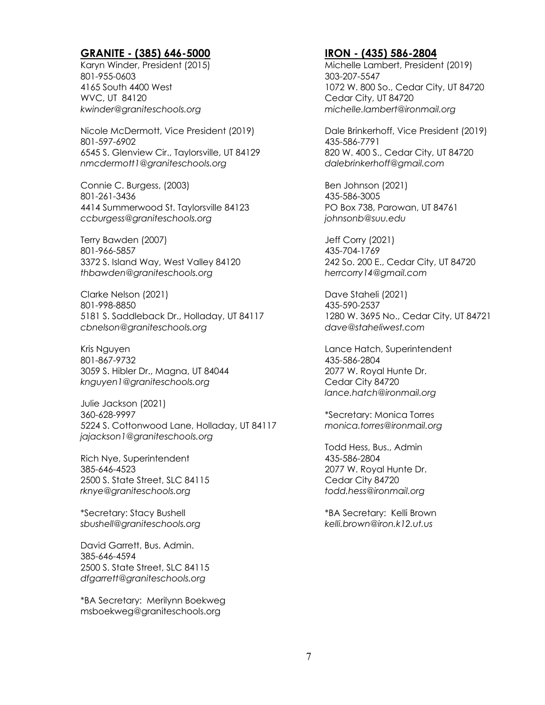# **GRANITE - (385) 646-5000**

Karyn Winder, President (2015) 801-955-0603 4165 South 4400 West WVC, UT 84120 *kwinder@graniteschools.org*

Nicole McDermott, Vice President (2019) 801-597-6902 6545 S. Glenview Cir., Taylorsville, UT 84129 *nmcdermott1@graniteschools.org*

Connie C. Burgess, (2003) 801-261-3436 4414 Summerwood St. Taylorsville 84123 *ccburgess@graniteschools.org*

Terry Bawden (2007) 801-966-5857 3372 S. Island Way, West Valley 84120 *thbawden@graniteschools.org* 

Clarke Nelson (2021) 801-998-8850 5181 S. Saddleback Dr., Holladay, UT 84117 *cbnelson@graniteschools.org*

Kris Nguyen 801-867-9732 3059 S. Hibler Dr., Magna, UT 84044 *knguyen1@graniteschools.org*

Julie Jackson (2021) 360-628-9997 5224 S. Cottonwood Lane, Holladay, UT 84117 *jajackson1@graniteschools.org*

Rich Nye, Superintendent 385-646-4523 2500 S. State Street, SLC 84115 *rknye@graniteschools.org*

\*Secretary: Stacy Bushell *sbushell@graniteschools.org*

David Garrett, Bus. Admin. 385-646-4594 2500 S. State Street, SLC 84115 *dfgarrett@graniteschools.org*

\*BA Secretary: Merilynn Boekweg msboekweg@graniteschools.org

## **IRON - (435) 586-2804**

Michelle Lambert, President (2019) 303-207-5547 1072 W. 800 So., Cedar City, UT 84720 Cedar City, UT 84720 *michelle.lambert@ironmail.org*

Dale Brinkerhoff, Vice President (2019) 435-586-7791 820 W. 400 S., Cedar City, UT 84720 *dalebrinkerhoff@gmail.com*

Ben Johnson (2021) 435-586-3005 PO Box 738, Parowan, UT 84761 *johnsonb@suu.edu*

Jeff Corry (2021) 435-704-1769 242 So. 200 E., Cedar City, UT 84720 *herrcorry14@gmail.com*

Dave Staheli (2021) 435-590-2537 1280 W. 3695 No., Cedar City, UT 84721 *dave@staheliwest.com*

Lance Hatch, Superintendent 435-586-2804 2077 W. Royal Hunte Dr. Cedar City 84720 *lance.hatch@ironmail.org*

\*Secretary: Monica Torres *monica.torres@ironmail.org*

Todd Hess, Bus., Admin 435-586-2804 2077 W. Royal Hunte Dr. Cedar City 84720 *todd.hess@ironmail.org*

\*BA Secretary: Kelli Brown *kelli.brown@iron.k12.ut.us*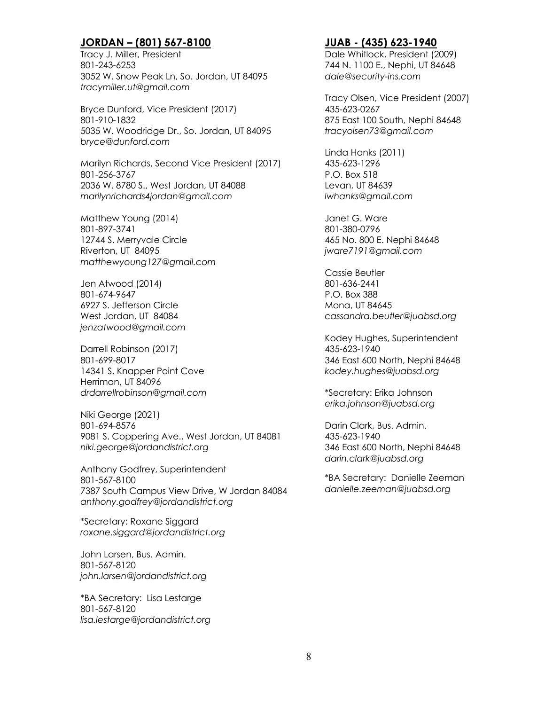# **JORDAN – (801) 567-8100**

Tracy J. Miller, President 801-243-6253 3052 W. Snow Peak Ln, So. Jordan, UT 84095 *tracymiller.ut@gmail.com*

Bryce Dunford, Vice President (2017) 801-910-1832 5035 W. Woodridge Dr., So. Jordan, UT 84095 *bryce@dunford.com*

Marilyn Richards, Second Vice President (2017) 801-256-3767 2036 W. 8780 S., West Jordan, UT 84088 *marilynrichards4jordan@gmail.com*

Matthew Young (2014) 801-897-3741 12744 S. Merryvale Circle Riverton, UT 84095 *matthewyoung127@gmail.com*

Jen Atwood (2014) 801-674-9647 6927 S. Jefferson Circle West Jordan, UT 84084 *jenzatwood@gmail.com*

Darrell Robinson (2017) 801-699-8017 14341 S. Knapper Point Cove Herriman, UT 84096 *drdarrellrobinson@gmail.com*

Niki George (2021) 801-694-8576 9081 S. Coppering Ave., West Jordan, UT 84081 *niki.george@jordandistrict.org*

Anthony Godfrey, Superintendent 801-567-8100 7387 South Campus View Drive, W Jordan 84084 *anthony.godfrey@jordandistrict.org*

\*Secretary: Roxane Siggard *roxane.siggard@jordandistrict.org*

John Larsen, Bus. Admin. 801-567-8120 *john.larsen@jordandistrict.org*

\*BA Secretary: Lisa Lestarge 801-567-8120 *lisa.lestarge@jordandistrict.org*

#### **JUAB - (435) 623-1940**

Dale Whitlock, President (2009) 744 N. 1100 E., Nephi, UT 84648 *dale@security-ins.com*

Tracy Olsen, Vice President (2007) 435-623-0267 875 East 100 South, Nephi 84648 *tracyolsen73@gmail.com*

Linda Hanks (2011) 435-623-1296 P.O. Box 518 Levan, UT 84639 *lwhanks@gmail.com*

Janet G. Ware 801-380-0796 465 No. 800 E. Nephi 84648 *jware7191@gmail.com*

Cassie Beutler 801-636-2441 P.O. Box 388 Mona, UT 84645 *cassandra.beutler@juabsd.org*

Kodey Hughes, Superintendent 435-623-1940 346 East 600 North, Nephi 84648 *kodey.hughes@juabsd.org*

\*Secretary: Erika Johnson *erika.johnson@juabsd.org*

Darin Clark, Bus. Admin. 435-623-1940 346 East 600 North, Nephi 84648 *darin.clark@juabsd.org*

\*BA Secretary: Danielle Zeeman *danielle.zeeman@juabsd.org*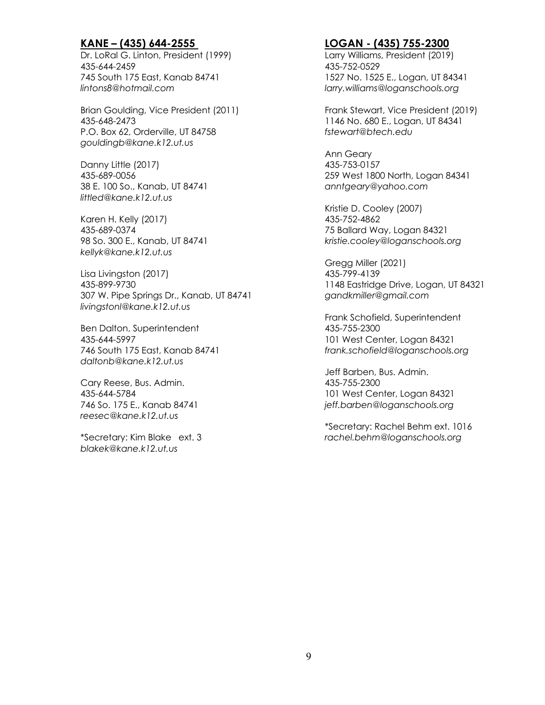# **KANE – (435) 644-2555**

Dr. LoRal G. Linton, President (1999) 435-644-2459 745 South 175 East, Kanab 84741 *lintons8@hotmail.com*

Brian Goulding, Vice President (2011) 435-648-2473 P.O. Box 62, Orderville, UT 84758 *gouldingb@kane.k12.ut.us*

Danny Little (2017) 435-689-0056 38 E. 100 So., Kanab, UT 84741 *littled@kane.k12.ut.us*

Karen H. Kelly (2017) 435-689-0374 98 So. 300 E., Kanab, UT 84741 *kellyk@kane.k12.ut.us*

Lisa Livingston (2017) 435-899-9730 307 W. Pipe Springs Dr., Kanab, UT 84741 *livingstonl@kane.k12.ut.us*

Ben Dalton, Superintendent 435-644-5997 746 South 175 East, Kanab 84741 *daltonb@kane.k12.ut.us*

Cary Reese, Bus. Admin. 435-644-5784 746 So. 175 E., Kanab 84741 *reesec@kane.k12.ut.us*

\*Secretary: Kim Blake ext. 3 *blakek@kane.k12.ut.us*

# **LOGAN - (435) 755-2300**

Larry Williams, President (2019) 435-752-0529 1527 No. 1525 E., Logan, UT 84341 *larry.williams@loganschools.org*

Frank Stewart, Vice President (2019) 1146 No. 680 E., Logan, UT 84341 *fstewart@btech.edu*

Ann Geary 435-753-0157 259 West 1800 North, Logan 84341 *anntgeary@yahoo.com*

Kristie D. Cooley (2007) 435-752-4862 75 Ballard Way, Logan 84321 *kristie.cooley@loganschools.org*

Gregg Miller (2021) 435-799-4139 1148 Eastridge Drive, Logan, UT 84321 *gandkmiller@gmail.com*

Frank Schofield, Superintendent 435-755-2300 101 West Center, Logan 84321 *frank.schofield@loganschools.org*

Jeff Barben, Bus. Admin. 435-755-2300 101 West Center, Logan 84321 *jeff.barben@loganschools.org*

\*Secretary: Rachel Behm ext. 1016 *rachel.behm@loganschools.org*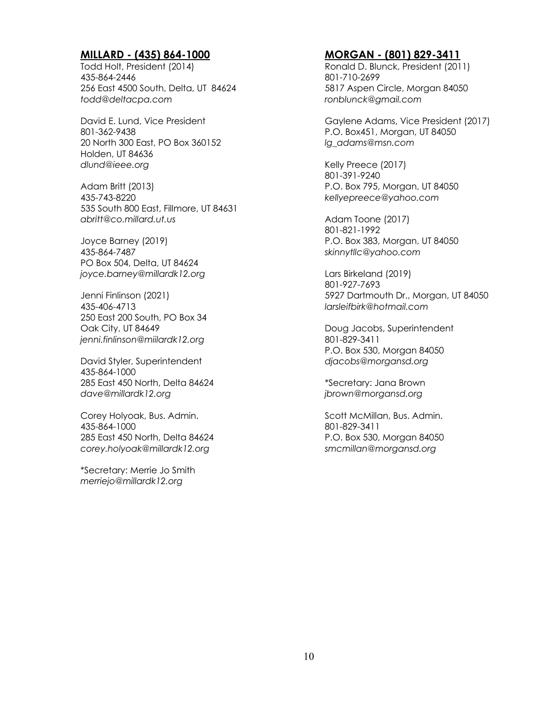# **MILLARD - (435) 864-1000**

Todd Holt, President (2014) 435-864-2446 256 East 4500 South, Delta, UT 84624 *todd@deltacpa.com*

David E. Lund, Vice President 801-362-9438 20 North 300 East, PO Box 360152 Holden, UT 84636 *dlund@ieee.org*

Adam Britt (2013) 435-743-8220 535 South 800 East, Fillmore, UT 84631 *abritt@co.millard.ut.us*

Joyce Barney (2019) 435-864-7487 PO Box 504, Delta, UT 84624 *joyce.barney@millardk12.org*

Jenni Finlinson (2021) 435-406-4713 250 East 200 South, PO Box 34 Oak City, UT 84649 *jenni.finlinson@miilardk12.org*

David Styler, Superintendent 435-864-1000 285 East 450 North, Delta 84624 *dave@millardk12.org*

Corey Holyoak, Bus. Admin. 435-864-1000 285 East 450 North, Delta 84624 *corey.holyoak@millardk12.org*

\*Secretary: Merrie Jo Smith *merriejo@millardk12.org*

## **MORGAN - (801) 829-3411**

Ronald D. Blunck, President (2011) 801-710-2699 5817 Aspen Circle, Morgan 84050 *ronblunck@gmail.com*

Gaylene Adams, Vice President (2017) P.O. Box451, Morgan, UT 84050 *lg\_adams@msn.com*

Kelly Preece (2017) 801-391-9240 P.O. Box 795, Morgan, UT 84050 *kellyepreece@yahoo.com*

Adam Toone (2017) 801-821-1992 P.O. Box 383, Morgan, UT 84050 *skinnytllc@yahoo.com*

Lars Birkeland (2019) 801-927-7693 5927 Dartmouth Dr., Morgan, UT 84050 *larsleifbirk@hotmail.com*

Doug Jacobs, Superintendent 801-829-3411 P.O. Box 530, Morgan 84050 *djacobs@morgansd.org*

\*Secretary: Jana Brown *jbrown@morgansd.org*

Scott McMillan, Bus. Admin. 801-829-3411 P.O. Box 530, Morgan 84050 *smcmillan@morgansd.org*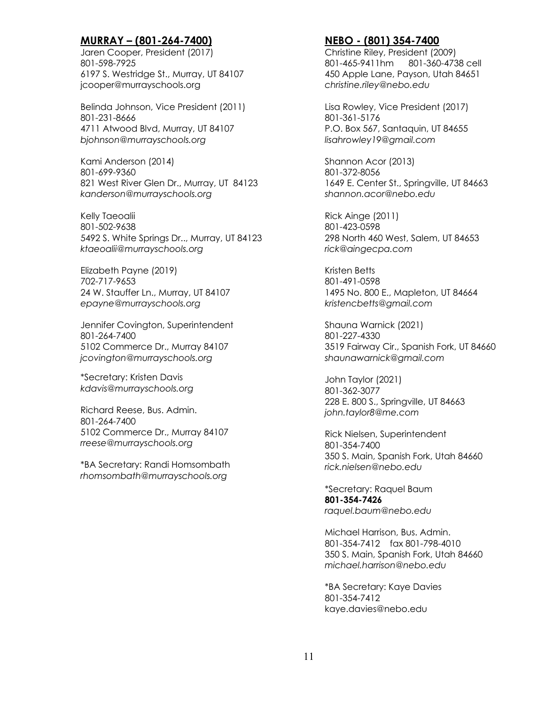# **MURRAY – (801-264-7400)**

Jaren Cooper, President (2017) 801-598-7925 6197 S. Westridge St., Murray, UT 84107 jcooper@murrayschools.org

Belinda Johnson, Vice President (2011) 801-231-8666 4711 Atwood Blvd, Murray, UT 84107 *bjohnson@murrayschools.org*

Kami Anderson (2014) 801-699-9360 821 West River Glen Dr., Murray, UT 84123 *kanderson@murrayschools.org*

Kelly Taeoalii 801-502-9638 5492 S. White Springs Dr.., Murray, UT 84123 *ktaeoalii@murrayschools.org*

Elizabeth Payne (2019) 702-717-9653 24 W. Stauffer Ln., Murray, UT 84107 *epayne@murrayschools.org*

Jennifer Covington, Superintendent 801-264-7400 5102 Commerce Dr., Murray 84107 *jcovington@murrayschools.org*

\*Secretary: Kristen Davis *kdavis@murrayschools.org*

Richard Reese, Bus. Admin. 801-264-7400 5102 Commerce Dr., Murray 84107 *rreese@murrayschools.org*

\*BA Secretary: Randi Homsombath *rhomsombath@murrayschools.org*

# **NEBO - (801) 354-7400**

Christine Riley, President (2009) 801-465-9411hm 801-360-4738 cell 450 Apple Lane, Payson, Utah 84651 *christine.riley@nebo.edu*

Lisa Rowley, Vice President (2017) 801-361-5176 P.O. Box 567, Santaquin, UT 84655 *lisahrowley19@gmail.com*

Shannon Acor (2013) 801-372-8056 1649 E. Center St., Springville, UT 84663 *shannon.acor@nebo.edu*

Rick Ainge (2011) 801-423-0598 298 North 460 West, Salem, UT 84653 *rick@aingecpa.com*

Kristen Betts 801-491-0598 1495 No. 800 E., Mapleton, UT 84664 *kristencbetts@gmail.com*

Shauna Warnick (2021) 801-227-4330 3519 Fairway Cir., Spanish Fork, UT 84660 *shaunawarnick@gmail.com*

John Taylor (2021) 801-362-3077 228 E. 800 S., Springville, UT 84663 *john.taylor8@me.com*

Rick Nielsen, Superintendent 801-354-7400 350 S. Main, Spanish Fork, Utah 84660 *rick.nielsen@nebo.edu*

\*Secretary: Raquel Baum **801-354-7426** *raquel.baum@nebo.edu*

Michael Harrison, Bus. Admin. 801-354-7412 fax 801-798-4010 350 S. Main, Spanish Fork, Utah 84660 *michael.harrison@nebo.edu*

\*BA Secretary: Kaye Davies 801-354-7412 kaye.davies@nebo.edu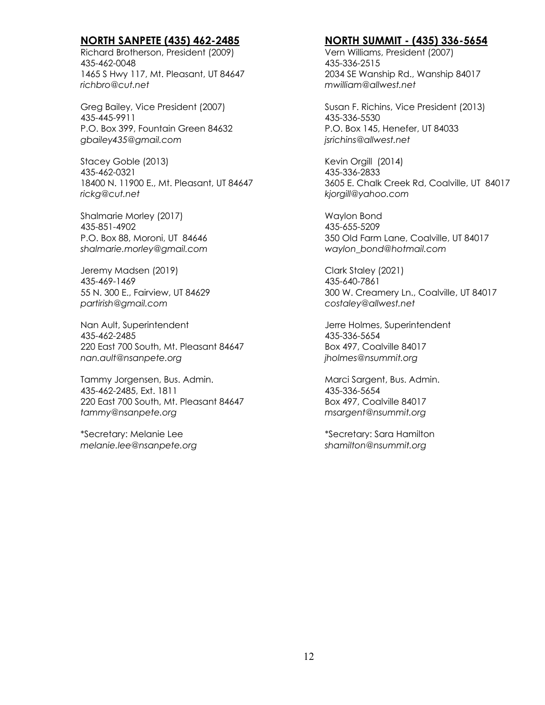# **NORTH SANPETE (435) 462-2485**

Richard Brotherson, President (2009) 435-462-0048 1465 S Hwy 117, Mt. Pleasant, UT 84647 *richbro@cut.net*

Greg Bailey, Vice President (2007) 435-445-9911 P.O. Box 399, Fountain Green 84632 *gbailey435@gmail.com*

Stacey Goble (2013) 435-462-0321 18400 N. 11900 E., Mt. Pleasant, UT 84647 *rickg@cut.net*

Shalmarie Morley (2017) 435-851-4902 P.O. Box 88, Moroni, UT 84646 *shalmarie.morley@gmail.com*

Jeremy Madsen (2019) 435-469-1469 55 N. 300 E., Fairview, UT 84629 *partirish@gmail.com*

Nan Ault, Superintendent 435-462-2485 220 East 700 South, Mt. Pleasant 84647 *nan.ault@nsanpete.org*

Tammy Jorgensen, Bus. Admin. 435-462-2485, Ext. 1811 220 East 700 South, Mt. Pleasant 84647 *tammy@nsanpete.org*

\*Secretary: Melanie Lee *melanie.lee@nsanpete.org*

# **NORTH SUMMIT - (435) 336-5654**

Vern Williams, President (2007) 435-336-2515 2034 SE Wanship Rd., Wanship 84017 *mwilliam@allwest.net*

Susan F. Richins, Vice President (2013) 435-336-5530 P.O. Box 145, Henefer, UT 84033 *jsrichins@allwest.net*

Kevin Orgill (2014) 435-336-2833 3605 E. Chalk Creek Rd, Coalville, UT 84017 *kjorgill@yahoo.com*

Waylon Bond 435-655-5209 350 Old Farm Lane, Coalville, UT 84017 *waylon\_bond@hotmail.com*

Clark Staley (2021) 435-640-7861 300 W. Creamery Ln., Coalville, UT 84017 *costaley@allwest.net*

Jerre Holmes, Superintendent 435-336-5654 Box 497, Coalville 84017 *jholmes@nsummit.org*

Marci Sargent, Bus. Admin. 435-336-5654 Box 497, Coalville 84017 *msargent@nsummit.org*

\*Secretary: Sara Hamilton *shamilton@nsummit.org*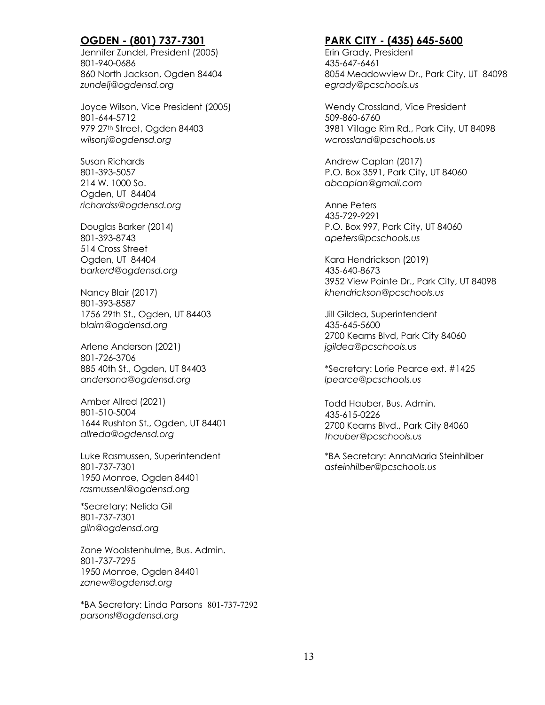# **OGDEN - (801) 737-7301**

Jennifer Zundel, President (2005) 801-940-0686 860 North Jackson, Ogden 84404 *zundelj@ogdensd.org*

Joyce Wilson, Vice President (2005) 801-644-5712 979 27th Street, Ogden 84403 *wilsonj@ogdensd.org*

Susan Richards 801-393-5057 214 W. 1000 So. Ogden, UT 84404 *richardss@ogdensd.org*

Douglas Barker (2014) 801-393-8743 514 Cross Street Ogden, UT 84404 *barkerd@ogdensd.org*

Nancy Blair (2017) 801-393-8587 1756 29th St., Ogden, UT 84403 *blairn@ogdensd.org*

Arlene Anderson (2021) 801-726-3706 885 40th St., Ogden, UT 84403 *andersona@ogdensd.org*

Amber Allred (2021) 801-510-5004 1644 Rushton St., Ogden, UT 84401 *allreda@ogdensd.org*

Luke Rasmussen, Superintendent 801-737-7301 1950 Monroe, Ogden 84401 *rasmussenl@ogdensd.org*

\*Secretary: Nelida Gil 801-737-7301 *giln@ogdensd.org*

Zane Woolstenhulme, Bus. Admin. 801-737-7295 1950 Monroe, Ogden 84401 *zanew@ogdensd.org*

\*BA Secretary: Linda Parsons 801-737-7292 *parsonsl@ogdensd.org*

## **PARK CITY - (435) 645-5600**

Erin Grady, President 435-647-6461 8054 Meadowview Dr., Park City, UT 84098 *egrady@pcschools.us*

Wendy Crossland, Vice President 509-860-6760 3981 Village Rim Rd., Park City, UT 84098 *wcrossland@pcschools.us*

Andrew Caplan (2017) P.O. Box 3591, Park City, UT 84060 *abcaplan@gmail.com*

Anne Peters 435-729-9291 P.O. Box 997, Park City, UT 84060 *apeters@pcschools.us*

Kara Hendrickson (2019) 435-640-8673 3952 View Pointe Dr., Park City, UT 84098 *khendrickson@pcschools.us*

Jill Gildea, Superintendent 435-645-5600 2700 Kearns Blvd, Park City 84060 *jgildea@pcschools.us*

\*Secretary: Lorie Pearce ext. #1425 *lpearce@pcschools.us*

Todd Hauber, Bus. Admin. 435-615-0226 2700 Kearns Blvd., Park City 84060 *thauber@pcschools.us*

\*BA Secretary: AnnaMaria Steinhilber *asteinhilber@pcschools.us*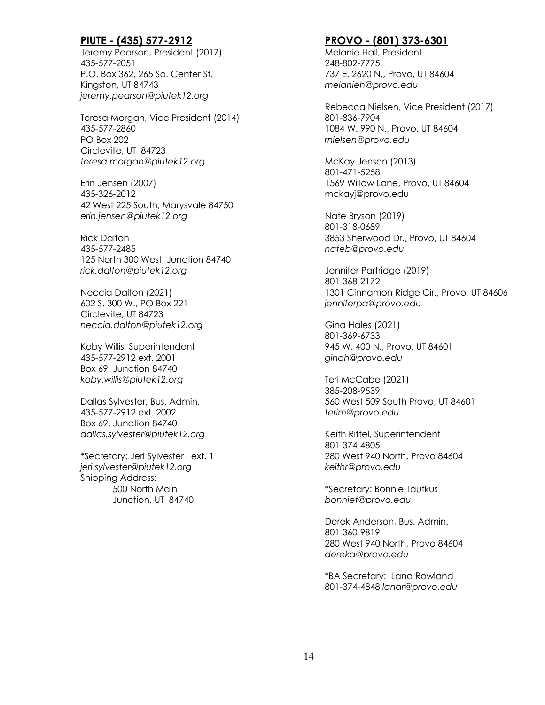# **PIUTE - (435) 577-2912**

Jeremy Pearson, President (2017) 435-577-2051 P.O. Box 362, 265 So. Center St. Kingston, UT 84743 *jeremy.pearson@piutek12.org*

Teresa Morgan, Vice President (2014) 435-577-2860 PO Box 202 Circleville, UT 84723 *teresa.morgan@piutek12.org*

Erin Jensen (2007) 435-326-2012 42 West 225 South, Marysvale 84750 *erin.jensen@piutek12.org*

Rick Dalton 435-577-2485 125 North 300 West, Junction 84740 *rick.dalton@piutek12.org*

Neccia Dalton (2021) 602 S. 300 W., PO Box 221 Circleville, UT 84723 *neccia.dalton@piutek12.org*

Koby Willis, Superintendent 435-577-2912 ext. 2001 Box 69, Junction 84740 *koby.willis@piutek12.org*

Dallas Sylvester, Bus. Admin. 435-577-2912 ext. 2002 Box 69, Junction 84740 *dallas.sylvester@piutek12.org*

\*Secretary: Jeri Sylvester ext. 1 *jeri.sylvester@piutek12.org* Shipping Address: 500 North Main Junction, UT 84740

# **PROVO - (801) 373-6301**

Melanie Hall, President 248-802-7775 737 E. 2620 N., Provo, UT 84604 *melanieh@provo.edu*

Rebecca Nielsen, Vice President (2017) 801-836-7904 1084 W. 990 N., Provo, UT 84604 *rnielsen@provo.edu*

McKay Jensen (2013) 801-471-5258 1569 Willow Lane, Provo, UT 84604 mckayj@provo.edu

Nate Bryson (2019) 801-318-0689 3853 Sherwood Dr., Provo, UT 84604 *nateb@provo.edu*

Jennifer Partridge (2019) 801-368-2172 1301 Cinnamon Ridge Cir., Provo, UT 84606 *jenniferpa@provo.edu*

Gina Hales (2021) 801-369-6733 945 W. 400 N., Provo, UT 84601 *ginah@provo.edu*

Teri McCabe (2021) 385-208-9539 560 West 509 South Provo, UT 84601 *terim@provo.edu*

Keith Rittel, Superintendent 801-374-4805 280 West 940 North, Provo 84604 *keithr@provo.edu*

\*Secretary: Bonnie Tautkus *bonniet@provo.edu*

Derek Anderson, Bus. Admin. 801-360-9819 280 West 940 North, Provo 84604 *dereka@provo.edu*

\*BA Secretary: Lana Rowland 801-374-4848 *lanar@provo.edu*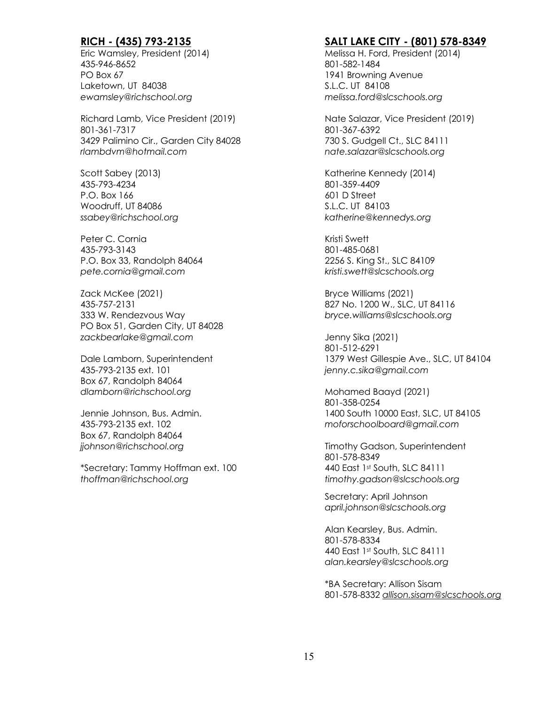# **RICH - (435) 793-2135**

Eric Wamsley, President (2014) 435-946-8652 PO Box 67 Laketown, UT 84038 *ewamsley@richschool.org*

Richard Lamb, Vice President (2019) 801-361-7317 3429 Palimino Cir., Garden City 84028 *rlambdvm@hotmail.com*

Scott Sabey (2013) 435-793-4234 P.O. Box 166 Woodruff, UT 84086 *ssabey@richschool.org*

Peter C. Cornia 435-793-3143 P.O. Box 33, Randolph 84064 *pete.cornia@gmail.com*

Zack McKee (2021) 435-757-2131 333 W. Rendezvous Way PO Box 51, Garden City, UT 84028 *zackbearlake@gmail.com*

Dale Lamborn, Superintendent 435-793-2135 ext. 101 Box 67, Randolph 84064 *dlamborn@richschool.org*

Jennie Johnson, Bus. Admin. 435-793-2135 ext. 102 Box 67, Randolph 84064 *jjohnson@richschool.org*

\*Secretary: Tammy Hoffman ext. 100 *thoffman@richschool.org*

#### **SALT LAKE CITY - (801) 578-8349**

Melissa H. Ford, President (2014) 801-582-1484 1941 Browning Avenue S.L.C. UT 84108 *melissa.ford@slcschools.org*

Nate Salazar, Vice President (2019) 801-367-6392 730 S. Gudgell Ct., SLC 84111 *nate.salazar@slcschools.org*

Katherine Kennedy (2014) 801-359-4409 601 D Street S.L.C. UT 84103 *katherine@kennedys.org*

Kristi Swett 801-485-0681 2256 S. King St., SLC 84109 *kristi.swett@slcschools.org*

Bryce Williams (2021) 827 No. 1200 W., SLC, UT 84116 *bryce.williams@slcschools.org*

Jenny Sika (2021) 801-512-6291 1379 West Gillespie Ave., SLC, UT 84104 *jenny.c.sika@gmail.com*

Mohamed Baayd (2021) 801-358-0254 1400 South 10000 East, SLC, UT 84105 *moforschoolboard@gmail.com*

Timothy Gadson, Superintendent 801-578-8349 440 East 1st South, SLC 84111 *timothy.gadson@slcschools.org*

Secretary: April Johnson *april.johnson@slcschools.org*

Alan Kearsley, Bus. Admin. 801-578-8334 440 East 1st South, SLC 84111 *alan.kearsley@slcschools.org*

\*BA Secretary: Allison Sisam 801-578-8332 *allison.sisam@slcschools.org*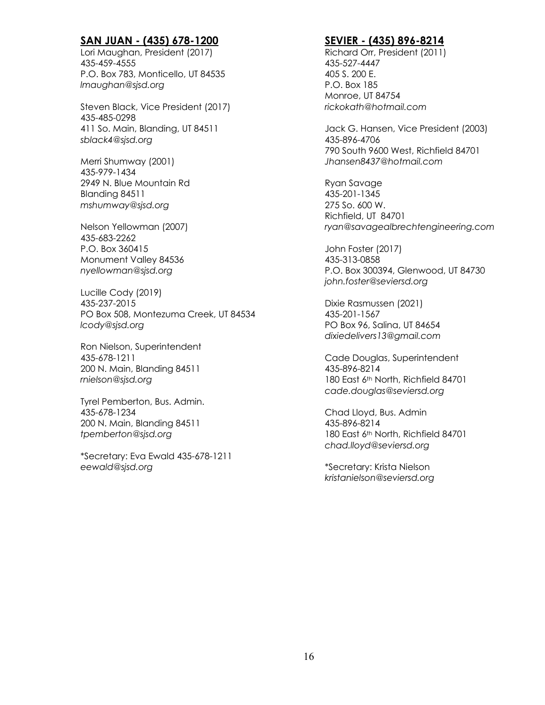# **SAN JUAN - (435) 678-1200**

Lori Maughan, President (2017) 435-459-4555 P.O. Box 783, Monticello, UT 84535 *lmaughan@sjsd.org*

Steven Black, Vice President (2017) 435-485-0298 411 So. Main, Blanding, UT 84511 *sblack4@sjsd.org*

Merri Shumway (2001) 435-979-1434 2949 N. Blue Mountain Rd Blanding 84511 *mshumway@sjsd.org*

Nelson Yellowman (2007) 435-683-2262 P.O. Box 360415 Monument Valley 84536 *nyellowman@sjsd.org*

Lucille Cody (2019) 435-237-2015 PO Box 508, Montezuma Creek, UT 84534 *lcody@sjsd.org*

Ron Nielson, Superintendent 435-678-1211 200 N. Main, Blanding 84511 *rnielson@sjsd.org*

Tyrel Pemberton, Bus. Admin. 435-678-1234 200 N. Main, Blanding 84511 *tpemberton@sjsd.org*

\*Secretary: Eva Ewald 435-678-1211 *eewald@sjsd.org*

## **SEVIER - (435) 896-8214**

Richard Orr, President (2011) 435-527-4447 405 S. 200 E. P.O. Box 185 Monroe, UT 84754 *rickokath@hotmail.com*

Jack G. Hansen, Vice President (2003) 435-896-4706 790 South 9600 West, Richfield 84701 *Jhansen8437@hotmail.com*

Ryan Savage 435-201-1345 275 So. 600 W. Richfield, UT 84701 *ryan@savagealbrechtengineering.com*

John Foster (2017) 435-313-0858 P.O. Box 300394, Glenwood, UT 84730 *john.foster@seviersd.org*

Dixie Rasmussen (2021) 435-201-1567 PO Box 96, Salina, UT 84654 *dixiedelivers13@gmail.com*

Cade Douglas, Superintendent 435-896-8214 180 East 6th North, Richfield 84701 *cade.douglas@seviersd.org*

Chad Lloyd, Bus. Admin 435-896-8214 180 East 6th North, Richfield 84701 *chad.lloyd@seviersd.org*

\*Secretary: Krista Nielson *kristanielson@seviersd.org*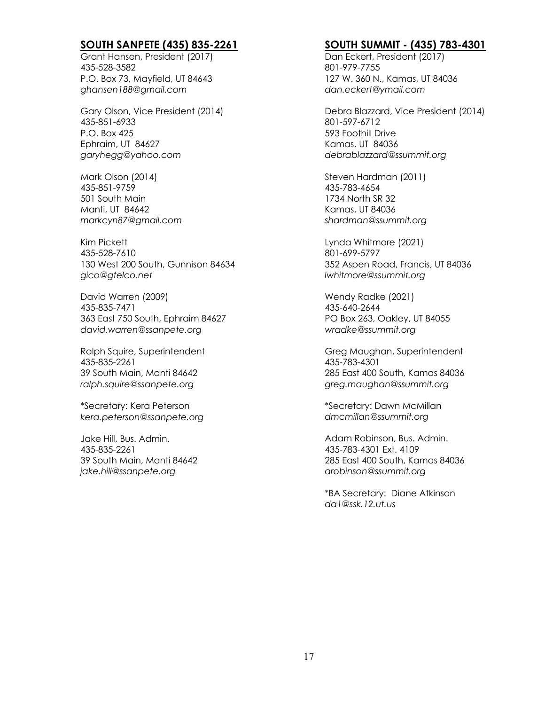# **SOUTH SANPETE (435) 835-2261**

Grant Hansen, President (2017) 435-528-3582 P.O. Box 73, Mayfield, UT 84643 *ghansen188@gmail.com*

Gary Olson, Vice President (2014) 435-851-6933 P.O. Box 425 Ephraim, UT 84627 *garyhegg@yahoo.com*

Mark Olson (2014) 435-851-9759 501 South Main Manti, UT 84642 *markcyn87@gmail.com*

Kim Pickett 435-528-7610 130 West 200 South, Gunnison 84634 *gico@gtelco.net*

David Warren (2009) 435-835-7471 363 East 750 South, Ephraim 84627 *david.warren@ssanpete.org*

Ralph Squire, Superintendent 435-835-2261 39 South Main, Manti 84642 *ralph.squire@ssanpete.org*

\*Secretary: Kera Peterson *kera.peterson@ssanpete.org*

Jake Hill, Bus. Admin. 435-835-2261 39 South Main, Manti 84642 *jake.hill@ssanpete.org*

#### **SOUTH SUMMIT - (435) 783-4301**

Dan Eckert, President (2017) 801-979-7755 127 W. 360 N., Kamas, UT 84036 *dan.eckert@ymail.com*

Debra Blazzard, Vice President (2014) 801-597-6712 593 Foothill Drive Kamas, UT 84036 *debrablazzard@ssummit.org*

Steven Hardman (2011) 435-783-4654 1734 North SR 32 Kamas, UT 84036 *shardman@ssummit.org*

Lynda Whitmore (2021) 801-699-5797 352 Aspen Road, Francis, UT 84036 *lwhitmore@ssummit.org*

Wendy Radke (2021) 435-640-2644 PO Box 263, Oakley, UT 84055 *wradke@ssummit.org*

Greg Maughan, Superintendent 435-783-4301 285 East 400 South, Kamas 84036 *greg.maughan@ssummit.org*

\*Secretary: Dawn McMillan *dmcmillan@ssummit.org*

Adam Robinson, Bus. Admin. 435-783-4301 Ext. 4109 285 East 400 South, Kamas 84036 *arobinson@ssummit.org*

\*BA Secretary: Diane Atkinson *da1@ssk.12.ut.us*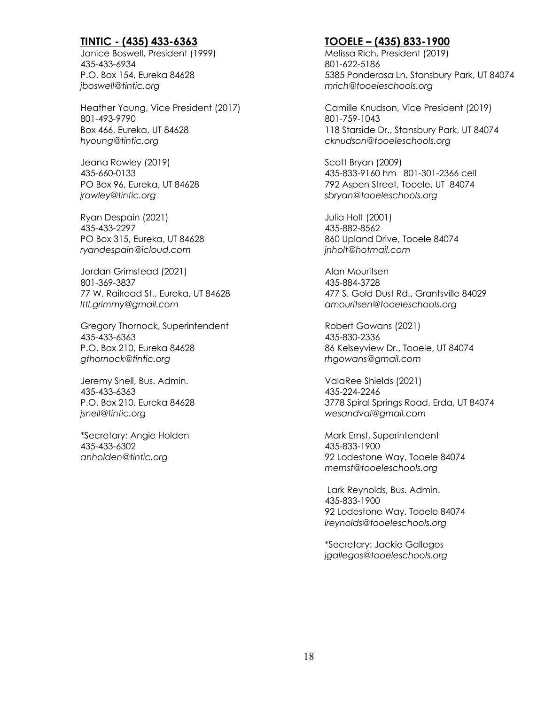# **TINTIC - (435) 433-6363**

Janice Boswell, President (1999) 435-433-6934 P.O. Box 154, Eureka 84628 *jboswell@tintic.org*

Heather Young, Vice President (2017) 801-493-9790 Box 466, Eureka, UT 84628 *hyoung@tintic.org*

Jeana Rowley (2019) 435-660-0133 PO Box 96, Eureka, UT 84628 *jrowley@tintic.org*

Ryan Despain (2021) 435-433-2297 PO Box 315, Eureka, UT 84628 *ryandespain@icloud.com*

Jordan Grimstead (2021) 801-369-3837 77 W. Railroad St., Eureka, UT 84628 *lttl.grimmy@gmail.com*

Gregory Thornock, Superintendent 435-433-6363 P.O. Box 210, Eureka 84628 *gthornock@tintic.org*

Jeremy Snell, Bus. Admin. 435-433-6363 P.O. Box 210, Eureka 84628 *jsnell@tintic.org*

\*Secretary: Angie Holden 435-433-6302 *anholden@tintic.org*

# **TOOELE – (435) 833-1900**

Melissa Rich, President (2019) 801-622-5186 5385 Ponderosa Ln, Stansbury Park, UT 84074 *mrich@tooeleschools.org*

Camille Knudson, Vice President (2019) 801-759-1043 118 Starside Dr., Stansbury Park, UT 84074 *cknudson@tooeleschools.org*

Scott Bryan (2009) 435-833-9160 hm 801-301-2366 cell 792 Aspen Street, Tooele, UT 84074 *sbryan@tooeleschools.org*

Julia Holt (2001) 435-882-8562 860 Upland Drive, Tooele 84074 *jnholt@hotmail.com*

Alan Mouritsen 435-884-3728 477 S. Gold Dust Rd., Grantsville 84029 *amouritsen@tooeleschools.org*

Robert Gowans (2021) 435-830-2336 86 Kelseyview Dr., Tooele, UT 84074 *rhgowans@gmail.com*

ValaRee Shields (2021) 435-224-2246 3778 Spiral Springs Road, Erda, UT 84074 *wesandval@gmail.com*

Mark Ernst, Superintendent 435-833-1900 92 Lodestone Way, Tooele 84074 *mernst@tooeleschools.org*

Lark Reynolds, Bus. Admin. 435-833-1900 92 Lodestone Way, Tooele 84074 *lreynolds@tooeleschools.org*

\*Secretary: Jackie Gallegos *jgallegos@tooeleschools.org*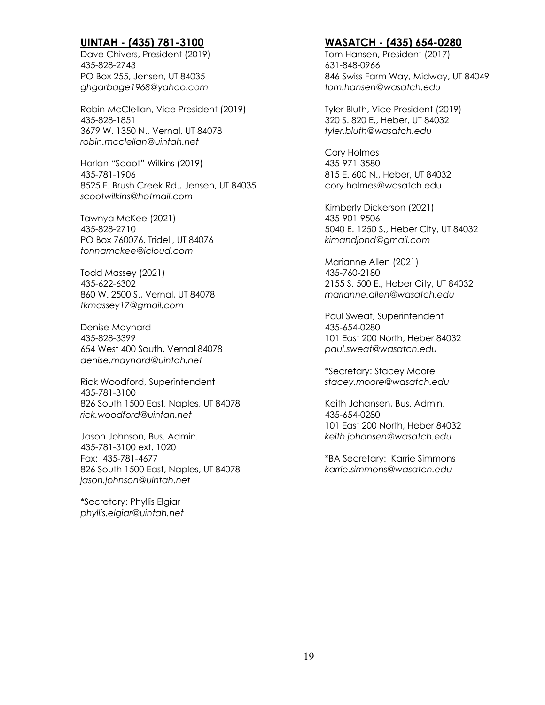# **UINTAH - (435) 781-3100**

Dave Chivers, President (2019) 435-828-2743 PO Box 255, Jensen, UT 84035 *ghgarbage1968@yahoo.com*

Robin McClellan, Vice President (2019) 435-828-1851 3679 W. 1350 N., Vernal, UT 84078 *robin.mcclellan@uintah.net*

Harlan "Scoot" Wilkins (2019) 435-781-1906 8525 E. Brush Creek Rd., Jensen, UT 84035 *scootwilkins@hotmail.com*

Tawnya McKee (2021) 435-828-2710 PO Box 760076, Tridell, UT 84076 *tonnamckee@icloud.com*

Todd Massey (2021) 435-622-6302 860 W. 2500 S., Vernal, UT 84078 *tkmassey17@gmail.com*

Denise Maynard 435-828-3399 654 West 400 South, Vernal 84078 *denise.maynard@uintah.net*

Rick Woodford, Superintendent 435-781-3100 826 South 1500 East, Naples, UT 84078 *rick.woodford@uintah.net*

Jason Johnson, Bus. Admin. 435-781-3100 ext. 1020 Fax: 435-781-4677 826 South 1500 East, Naples, UT 84078 *jason.johnson@uintah.net*

\*Secretary: Phyllis Elgiar *phyllis.elgiar@uintah.net*

# **WASATCH - (435) 654-0280**

Tom Hansen, President (2017) 631-848-0966 846 Swiss Farm Way, Midway, UT 84049 *tom.hansen@wasatch.edu*

Tyler Bluth, Vice President (2019) 320 S. 820 E., Heber, UT 84032 *tyler.bluth@wasatch.edu*

Cory Holmes 435-971-3580 815 E. 600 N., Heber, UT 84032 cory.holmes@wasatch.edu

Kimberly Dickerson (2021) 435-901-9506 5040 E. 1250 S., Heber City, UT 84032 *kimandjond@gmail.com*

Marianne Allen (2021) 435-760-2180 2155 S. 500 E., Heber City, UT 84032 *marianne.allen@wasatch.edu*

Paul Sweat, Superintendent 435-654-0280 101 East 200 North, Heber 84032 *paul.sweat@wasatch.edu*

\*Secretary: Stacey Moore *stacey.moore@wasatch.edu*

Keith Johansen, Bus. Admin. 435-654-0280 101 East 200 North, Heber 84032 *keith.johansen@wasatch.edu*

\*BA Secretary: Karrie Simmons *karrie.simmons@wasatch.edu*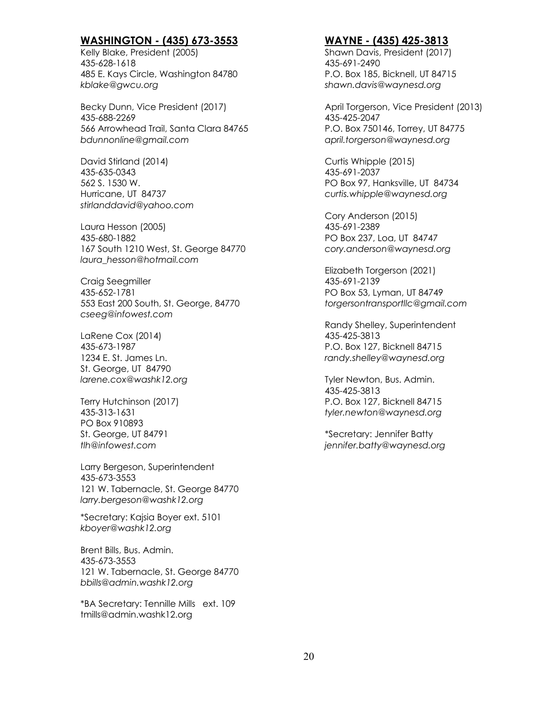#### **WASHINGTON - (435) 673-3553**

Kelly Blake, President (2005) 435-628-1618 485 E. Kays Circle, Washington 84780 *kblake@gwcu.org*

Becky Dunn, Vice President (2017) 435-688-2269 566 Arrowhead Trail, Santa Clara 84765 *bdunnonline@gmail.com*

David Stirland (2014) 435-635-0343 562 S. 1530 W. Hurricane, UT 84737 *stirlanddavid@yahoo.com*

Laura Hesson (2005) 435-680-1882 167 South 1210 West, St. George 84770 *laura\_hesson@hotmail.com*

Craig Seegmiller 435-652-1781 553 East 200 South, St. George, 84770 *cseeg@infowest.com*

LaRene Cox (2014) 435-673-1987 1234 E. St. James Ln. St. George, UT 84790 *larene.cox@washk12.org*

Terry Hutchinson (2017) 435-313-1631 PO Box 910893 St. George, UT 84791 *tlh@infowest.com*

Larry Bergeson, Superintendent 435-673-3553 121 W. Tabernacle, St. George 84770 *larry.bergeson@washk12.org*

\*Secretary: Kajsia Boyer ext. 5101 *kboyer@washk12.org*

Brent Bills, Bus. Admin. 435-673-3553 121 W. Tabernacle, St. George 84770 *bbills@admin.washk12.org*

\*BA Secretary: Tennille Mills ext. 109 tmills@admin.washk12.org

#### **WAYNE - (435) 425-3813**

Shawn Davis, President (2017) 435-691-2490 P.O. Box 185, Bicknell, UT 84715 *shawn.davis@waynesd.org*

April Torgerson, Vice President (2013) 435-425-2047 P.O. Box 750146, Torrey, UT 84775 *april.torgerson@waynesd.org*

Curtis Whipple (2015) 435-691-2037 PO Box 97, Hanksville, UT 84734 *curtis.whipple@waynesd.org*

Cory Anderson (2015) 435-691-2389 PO Box 237, Loa, UT 84747 *cory.anderson@waynesd.org*

Elizabeth Torgerson (2021) 435-691-2139 PO Box 53, Lyman, UT 84749 *torgersontransportllc@gmail.com*

Randy Shelley, Superintendent 435-425-3813 P.O. Box 127, Bicknell 84715 *randy.shelley@waynesd.org* 

Tyler Newton, Bus. Admin. 435-425-3813 P.O. Box 127, Bicknell 84715 *tyler.newton@waynesd.org*

\*Secretary: Jennifer Batty *jennifer.batty@waynesd.org*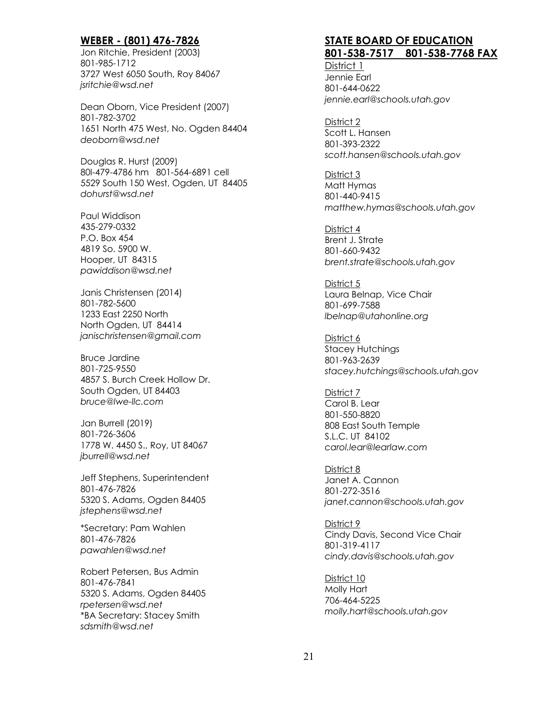#### **WEBER - (801) 476-7826**

Jon Ritchie, President (2003) 801-985-1712 3727 West 6050 South, Roy 84067 *jsritchie@wsd.net*

Dean Oborn, Vice President (2007) 801-782-3702 1651 North 475 West, No. Ogden 84404 *deoborn@wsd.net*

Douglas R. Hurst (2009) 80l-479-4786 hm 801-564-6891 cell 5529 South 150 West, Ogden, UT 84405 *dohurst@wsd.net*

Paul Widdison 435-279-0332 P.O. Box 454 4819 So. 5900 W. Hooper, UT 84315 *pawiddison@wsd.net*

Janis Christensen (2014) 801-782-5600 1233 East 2250 North North Ogden, UT 84414 *janischristensen@gmail.com*

Bruce Jardine 801-725-9550 4857 S. Burch Creek Hollow Dr. South Ogden, UT 84403 *bruce@lwe-llc.com*

Jan Burrell (2019) 801-726-3606 1778 W. 4450 S., Roy, UT 84067 *jburrell@wsd.net*

Jeff Stephens, Superintendent 801-476-7826 5320 S. Adams, Ogden 84405 *jstephens@wsd.net*

\*Secretary: Pam Wahlen 801-476-7826 *pawahlen@wsd.net*

Robert Petersen, Bus Admin 801-476-7841 5320 S. Adams, Ogden 84405 *rpetersen@wsd.net* \*BA Secretary: Stacey Smith *sdsmith@wsd.net*

# **STATE BOARD OF EDUCATION 801-538-7517 801-538-7768 FAX**

District 1 Jennie Earl 801-644-0622 *jennie.earl@schools.utah.gov*

District 2 Scott L. Hansen 801-393-2322 *scott.hansen@schools.utah.gov*

District 3 Matt Hymas 801-440-9415 *matthew.hymas@schools.utah.gov*

District 4 Brent J. Strate 801-660-9432 *brent.strate@schools.utah.gov*

District 5 Laura Belnap, Vice Chair 801-699-7588 *lbelnap@utahonline.org*

District 6 Stacey Hutchings 801-963-2639 *stacey.hutchings@schools.utah.gov*

District 7 Carol B. Lear 801-550-8820 808 East South Temple S.L.C. UT 84102 *carol.lear@learlaw.com*

District 8 Janet A. Cannon 801-272-3516 *janet.cannon@schools.utah.gov*

District 9 Cindy Davis, Second Vice Chair 801-319-4117 *cindy.davis@schools.utah.gov*

District 10 Molly Hart 706-464-5225 *molly.hart@schools.utah.gov*